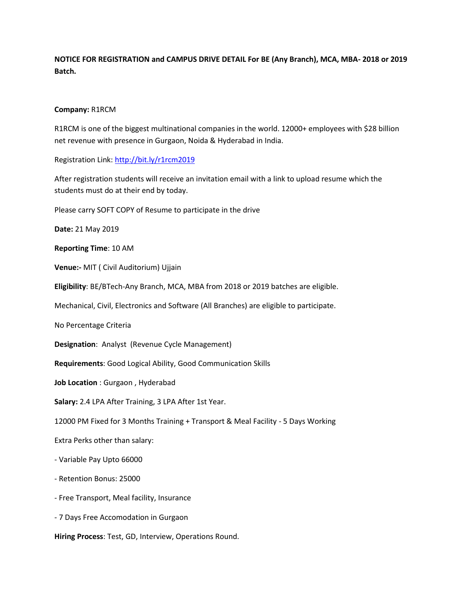**NOTICE FOR REGISTRATION and CAMPUS DRIVE DETAIL For BE (Any Branch), MCA, MBA- 2018 or 2019 Batch.**

## **Company:** R1RCM

R1RCM is one of the biggest multinational companies in the world. 12000+ employees with \$28 billion net revenue with presence in Gurgaon, Noida & Hyderabad in India.

Registration Link:<http://bit.ly/r1rcm2019>

After registration students will receive an invitation email with a link to upload resume which the students must do at their end by today.

Please carry SOFT COPY of Resume to participate in the drive

**Date:** 21 May 2019

**Reporting Time**: 10 AM

**Venue:-** MIT ( Civil Auditorium) Ujjain

**Eligibility**: BE/BTech-Any Branch, MCA, MBA from 2018 or 2019 batches are eligible.

Mechanical, Civil, Electronics and Software (All Branches) are eligible to participate.

No Percentage Criteria

**Designation**: Analyst (Revenue Cycle Management)

**Requirements**: Good Logical Ability, Good Communication Skills

**Job Location** : Gurgaon , Hyderabad

**Salary:** 2.4 LPA After Training, 3 LPA After 1st Year.

12000 PM Fixed for 3 Months Training + Transport & Meal Facility - 5 Days Working

Extra Perks other than salary:

- Variable Pay Upto 66000

- Retention Bonus: 25000

- Free Transport, Meal facility, Insurance

- 7 Days Free Accomodation in Gurgaon

**Hiring Process**: Test, GD, Interview, Operations Round.